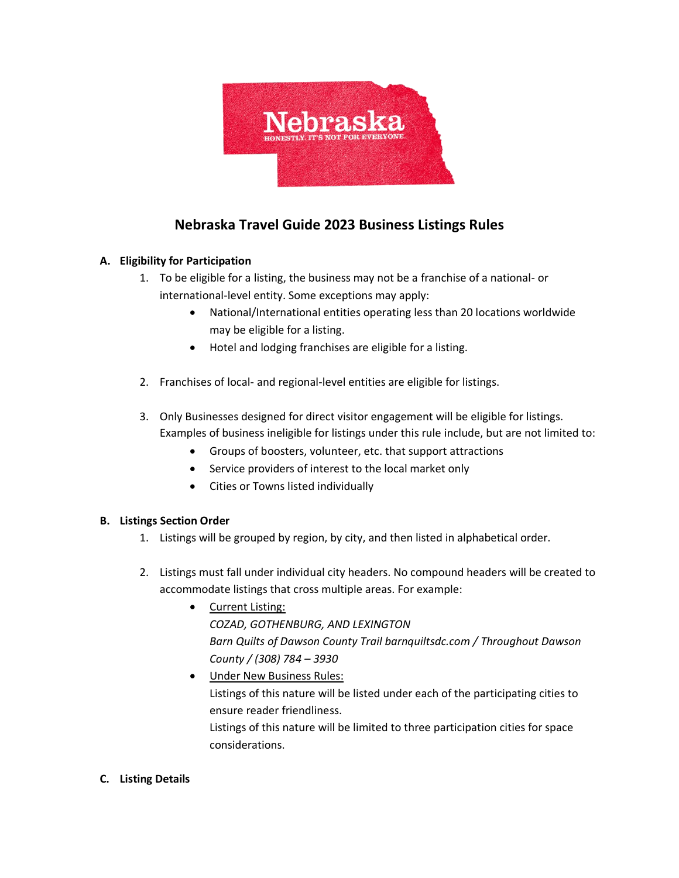

# **Nebraska Travel Guide 2023 Business Listings Rules**

## **A. Eligibility for Participation**

- 1. To be eligible for a listing, the business may not be a franchise of a national- or international-level entity. Some exceptions may apply:
	- National/International entities operating less than 20 locations worldwide may be eligible for a listing.
	- Hotel and lodging franchises are eligible for a listing.
- 2. Franchises of local- and regional-level entities are eligible for listings.
- 3. Only Businesses designed for direct visitor engagement will be eligible for listings. Examples of business ineligible for listings under this rule include, but are not limited to:
	- Groups of boosters, volunteer, etc. that support attractions
	- Service providers of interest to the local market only
	- Cities or Towns listed individually

### **B. Listings Section Order**

- 1. Listings will be grouped by region, by city, and then listed in alphabetical order.
- 2. Listings must fall under individual city headers. No compound headers will be created to accommodate listings that cross multiple areas. For example:
	- Current Listing: *COZAD, GOTHENBURG, AND LEXINGTON Barn Quilts of Dawson County Trail barnquiltsdc.com / Throughout Dawson County / (308) 784 – 3930*
	- Under New Business Rules: Listings of this nature will be listed under each of the participating cities to ensure reader friendliness. Listings of this nature will be limited to three participation cities for space considerations.

### **C. Listing Details**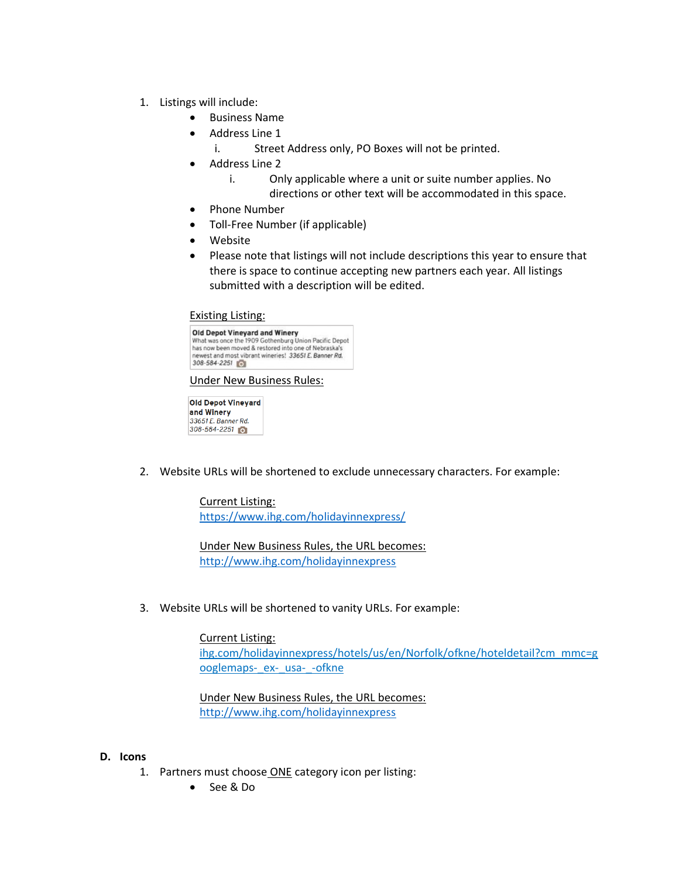- 1. Listings will include:
	- Business Name
	- Address Line 1
		- i. Street Address only, PO Boxes will not be printed.
	- Address Line 2
		- i. Only applicable where a unit or suite number applies. No
			- directions or other text will be accommodated in this space.
	- Phone Number
	- Toll-Free Number (if applicable)
	- Website
	- Please note that listings will not include descriptions this year to ensure that there is space to continue accepting new partners each year. All listings submitted with a description will be edited.

#### Existing Listing:

| <b>Old Depot Vineyard and Winery</b> | What was once the 1909 Gothenburg Union Pacific Depot |
|--------------------------------------|-------------------------------------------------------|
|                                      | has now been moved & restored into one of Nebraska's  |
| 308-584-2251                         | newest and most vibrant wineries! 33651 E. Banner Rd. |

#### Under New Business Rules:

Old Depot Vineyard and Winery 33651 E. Banner Rd. 308-584-2251

2. Website URLs will be shortened to exclude unnecessary characters. For example:

Current Listing: <https://www.ihg.com/holidayinnexpress/>

Under New Business Rules, the URL becomes: <http://www.ihg.com/holidayinnexpress>

3. Website URLs will be shortened to vanity URLs. For example:

Current Listing: ihg.com/holidayinnexpress/hotels/us/en/Norfolk/ofkne/hoteldetail?cm\_mmc=g ooglemaps-\_ex-\_usa-\_-ofkne

Under New Business Rules, the URL becomes: <http://www.ihg.com/holidayinnexpress>

#### **D. Icons**

- 1. Partners must choose ONE category icon per listing:
	- See & Do